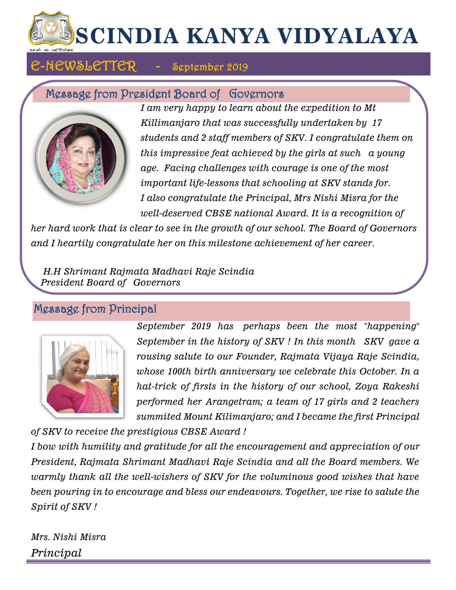# **SCINDIA KANYA VIDYALAYA**

# E-NEWSLETTER - September 2019

# Message from President Board of Governors



*I am very happy to learn about the expedition to Mt Killimanjaro that was successfully undertaken by 17 students and 2 staff members of SKV. I congratulate them on this impressive feat achieved by the girls at such a young age. Facing challenges with courage is one of the most important life-lessons that schooling at SKV stands for. I also congratulate the Principal, Mrs Nishi Misra for the well-deserved CBSE national Award. It is a recognition of* 

*her hard work that is clear to see in the growth of our school. The Board of Governors and I heartily congratulate her on this milestone achievement of her career.*

 *H.H Shrimant Rajmata Madhavi Raje Scindia President Board of Governors*

# Message from Principal



*September 2019 has perhaps been the most "happening" September in the history of SKV ! In this month SKV gave a rousing salute to our Founder, Rajmata Vijaya Raje Scindia, whose 100th birth anniversary we celebrate this October. In a hat-trick of firsts in the history of our school, Zoya Rakeshi performed her Arangetram; a team of 17 girls and 2 teachers summited Mount Kilimanjaro; and I became the first Principal* 

*of SKV to receive the prestigious CBSE Award !*

*I bow with humility and gratitude for all the encouragement and appreciation of our President, Rajmata Shrimant Madhavi Raje Scindia and all the Board members. We warmly thank all the well-wishers of SKV for the voluminous good wishes that have been pouring in to encourage and bless our endeavours. Together, we rise to salute the Spirit of SKV !*

*Mrs. Nishi Misra Principal*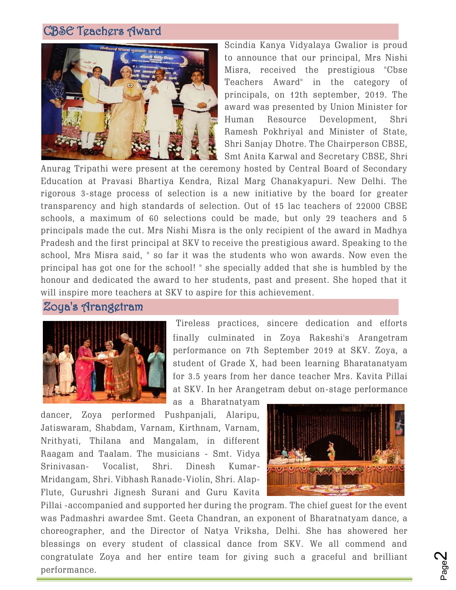# CBSE Teachers Award



Scindia Kanya Vidyalaya Gwalior is proud to announce that our principal, Mrs Nishi Misra, received the prestigious "Cbse Teachers Award" in the category of principals, on 12th september, 2019. The award was presented by Union Minister for Human Resource Development, Shri Ramesh Pokhriyal and Minister of State, Shri Sanjay Dhotre. The Chairperson CBSE, Smt Anita Karwal and Secretary CBSE, Shri

Anurag Tripathi were present at the ceremony hosted by Central Board of Secondary Education at Pravasi Bhartiya Kendra, Rizal Marg Chanakyapuri. New Delhi. The rigorous 3-stage process of selection is a new initiative by the board for greater transparency and high standards of selection. Out of 15 lac teachers of 22000 CBSE schools, a maximum of 60 selections could be made, but only 29 teachers and 5 principals made the cut. Mrs Nishi Misra is the only recipient of the award in Madhya Pradesh and the first principal at SKV to receive the prestigious award. Speaking to the school, Mrs Misra said, " so far it was the students who won awards. Now even the principal has got one for the school! " she specially added that she is humbled by the honour and dedicated the award to her students, past and present. She hoped that it will inspire more teachers at SKV to aspire for this achievement.

#### Zoya's Arangetram



Tireless practices, sincere dedication and efforts finally culminated in Zoya Rakeshi's Arangetram performance on 7th September 2019 at SKV. Zoya, a student of Grade X, had been learning Bharatanatyam for 3.5 years from her dance teacher Mrs. Kavita Pillai at SKV. In her Arangetram debut on-stage performance

as a Bharatnatyam

dancer, Zoya performed Pushpanjali, Alaripu, Jatiswaram, Shabdam, Varnam, Kirthnam, Varnam, Nrithyati, Thilana and Mangalam, in different Raagam and Taalam. The musicians - Smt. Vidya Srinivasan- Vocalist, Shri. Dinesh Kumar-Mridangam, Shri. Vibhash Ranade-Violin, Shri. Alap-Flute, Gurushri Jignesh Surani and Guru Kavita



Pillai -accompanied and supported her during the program. The chief guest for the event was Padmashri awardee Smt. Geeta Chandran, an exponent of Bharatnatyam dance, a choreographer, and the Director of Natya Vriksha, Delhi. She has showered her blessings on every student of classical dance from SKV. We all commend and congratulate Zoya and her entire team for giving such a graceful and brilliant performance.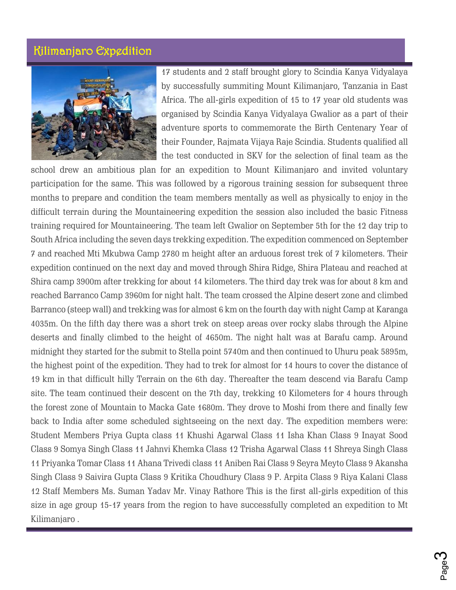## Kilimanjaro Expedition



17 students and 2 staff brought glory to Scindia Kanya Vidyalaya by successfully summiting Mount Kilimanjaro, Tanzania in East Africa. The all-girls expedition of 15 to 17 year old students was organised by Scindia Kanya Vidyalaya Gwalior as a part of their adventure sports to commemorate the Birth Centenary Year of their Founder, Rajmata Vijaya Raje Scindia. Students qualified all the test conducted in SKV for the selection of final team as the

school drew an ambitious plan for an expedition to Mount Kilimanjaro and invited voluntary participation for the same. This was followed by a rigorous training session for subsequent three months to prepare and condition the team members mentally as well as physically to enjoy in the difficult terrain during the Mountaineering expedition the session also included the basic Fitness training required for Mountaineering. The team left Gwalior on September 5th for the 12 day trip to South Africa including the seven days trekking expedition. The expedition commenced on September 7 and reached Mti Mkubwa Camp 2780 m height after an arduous forest trek of 7 kilometers. Their expedition continued on the next day and moved through Shira Ridge, Shira Plateau and reached at Shira camp 3900m after trekking for about 14 kilometers. The third day trek was for about 8 km and reached Barranco Camp 3960m for night halt. The team crossed the Alpine desert zone and climbed Barranco (steep wall) and trekking was for almost 6 km on the fourth day with night Camp at Karanga 4035m. On the fifth day there was a short trek on steep areas over rocky slabs through the Alpine deserts and finally climbed to the height of 4650m. The night halt was at Barafu camp. Around midnight they started for the submit to Stella point 5740m and then continued to Uhuru peak 5895m, the highest point of the expedition. They had to trek for almost for 14 hours to cover the distance of 19 km in that difficult hilly Terrain on the 6th day. Thereafter the team descend via Barafu Camp site. The team continued their descent on the 7th day, trekking 10 Kilometers for 4 hours through the forest zone of Mountain to Macka Gate 1680m. They drove to Moshi from there and finally few back to India after some scheduled sightseeing on the next day. The expedition members were: Student Members Priya Gupta class 11 Khushi Agarwal Class 11 Isha Khan Class 9 Inayat Sood Class 9 Somya Singh Class 11 Jahnvi Khemka Class 12 Trisha Agarwal Class 11 Shreya Singh Class 11 Priyanka Tomar Class 11 Ahana Trivedi class 11 Aniben Rai Class 9 Seyra Meyto Class 9 Akansha Singh Class 9 Saivira Gupta Class 9 Kritika Choudhury Class 9 P. Arpita Class 9 Riya Kalani Class 12 Staff Members Ms. Suman Yadav Mr. Vinay Rathore This is the first all-girls expedition of this size in age group 15-17 years from the region to have successfully completed an expedition to Mt Kilimanjaro .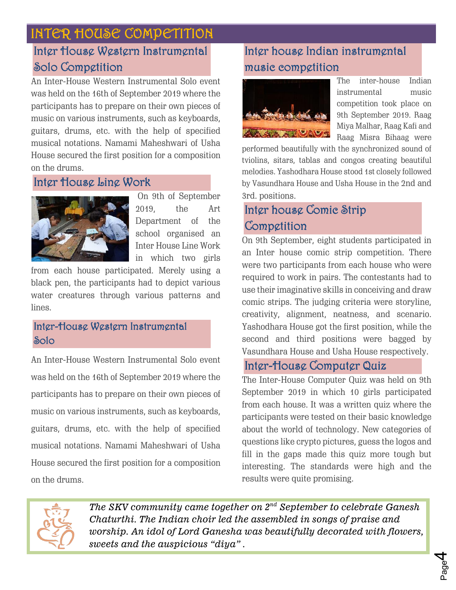# INTER HOUSE COMPETITION

# Inter House Western Instrumental Solo Competition

An Inter-House Western Instrumental Solo event was held on the 16th of September 2019 where the participants has to prepare on their own pieces of music on various instruments, such as keyboards, guitars, drums, etc. with the help of specified musical notations. Namami Maheshwari of Usha House secured the first position for a composition on the drums.

# [Inter House Line Work](http://www.skvgwalior.org/news-coverage2019.php#collapse-3)



On 9th of September 2019, the Art Department of the school organised an Inter House Line Work in which two girls

from each house participated. Merely using a black pen, the participants had to depict various water creatures through various patterns and lines.

## [Inter-House Western Instrumental](http://www.skvgwalior.org/news-coverage2019.php#collapse-3)  [Solo](http://www.skvgwalior.org/news-coverage2019.php#collapse-3)

An Inter-House Western Instrumental Solo event was held on the 16th of September 2019 where the participants has to prepare on their own pieces of music on various instruments, such as keyboards, guitars, drums, etc. with the help of specified musical notations. Namami Maheshwari of Usha House secured the first position for a composition on the drums.

# Inter house Indian instrumental music competition



The inter-house Indian instrumental music competition took place on 9th September 2019. Raag Miya Malhar, Raag Kafi and Raag Misra Bihaag were

performed beautifully with the synchronized sound of tviolins, sitars, tablas and congos creating beautiful melodies. Yashodhara House stood 1st closely followed by Vasundhara House and Usha House in the 2nd and 3rd. positions.

# [Inter house Comic Strip](http://www.skvgwalior.org/news-coverage2019.php#collapse-3)  [Competition](http://www.skvgwalior.org/news-coverage2019.php#collapse-3)

On 9th September, eight students participated in an Inter house comic strip competition. There were two participants from each house who were required to work in pairs. The contestants had to use their imaginative skills in conceiving and draw comic strips. The judging criteria were storyline, creativity, alignment, neatness, and scenario. Yashodhara House got the first position, while the second and third positions were bagged by Vasundhara House and Usha House respectively.

# [Inter-House Computer Quiz](http://www.skvgwalior.org/news-coverage2019.php#collapse-3)

The Inter-House Computer Quiz was held on 9th September 2019 in which 10 girls participated from each house. It was a written quiz where the participants were tested on their basic knowledge about the world of technology. New categories of questions like crypto pictures, guess the logos and fill in the gaps made this quiz more tough but interesting. The standards were high and the results were quite promising.



 *The SKV community came together on 2nd September to celebrate Ganesh Chaturthi. The Indian choir led the assembled in songs of praise and worship. An idol of Lord Ganesha was beautifully decorated with flowers, sweets and the auspicious "diya" .*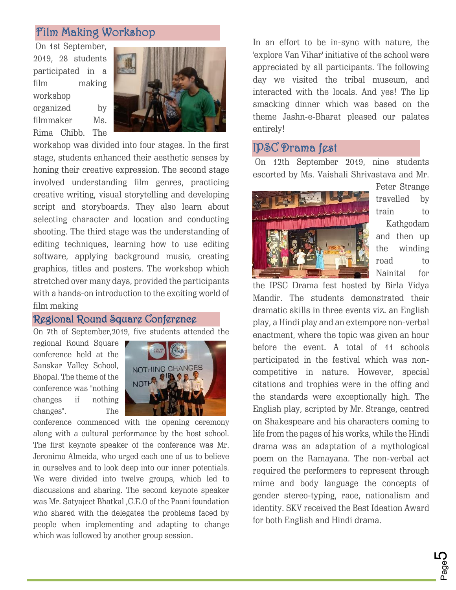## Film Making Workshop

On 1st September, 2019, 28 students participated in a film making workshop organized by filmmaker Ms. Rima Chibb. The



workshop was divided into four stages. In the first stage, students enhanced their aesthetic senses by honing their creative expression. The second stage involved understanding film genres, practicing creative writing, visual storytelling and developing script and storyboards. They also learn about selecting character and location and conducting shooting. The third stage was the understanding of editing techniques, learning how to use editing software, applying background music, creating graphics, titles and posters. The workshop which stretched over many days, provided the participants with a hands-on introduction to the exciting world of film making

#### Regional Round Square Conference

On 7th of September,2019, five students attended the

regional Round Square conference held at the Sanskar Valley School, Bhopal. The theme of the conference was "nothing changes if nothing changes". The



conference commenced with the opening ceremony along with a cultural performance by the host school. The first keynote speaker of the conference was Mr. Jeronimo Almeida, who urged each one of us to believe in ourselves and to look deep into our inner potentials. We were divided into twelve groups, which led to discussions and sharing. The second keynote speaker was Mr. Satyajeet Bhatkal ,C.E.O of the Paani foundation who shared with the delegates the problems faced by people when implementing and adapting to change which was followed by another group session.

In an effort to be in-sync with nature, the 'explore Van Vihar' initiative of the school were appreciated by all participants. The following day we visited the tribal museum, and interacted with the locals. And yes! The lip smacking dinner which was based on the theme Jashn-e-Bharat pleased our palates entirely!

## IPSC Drama fest

On 12th September 2019, nine students escorted by Ms. Vaishali Shrivastava and Mr.



Peter Strange travelled by train to Kathgodam and then up the winding road to Nainital for

the IPSC Drama fest hosted by Birla Vidya Mandir. The students demonstrated their dramatic skills in three events viz. an English play, a Hindi play and an extempore non-verbal enactment, where the topic was given an hour before the event. A total of 11 schools participated in the festival which was noncompetitive in nature. However, special citations and trophies were in the offing and the standards were exceptionally high. The English play, scripted by Mr. Strange, centred on Shakespeare and his characters coming to life from the pages of his works, while the Hindi drama was an adaptation of a mythological poem on the Ramayana. The non-verbal act required the performers to represent through mime and body language the concepts of gender stereo-typing, race, nationalism and identity. SKV received the Best Ideation Award for both English and Hindi drama.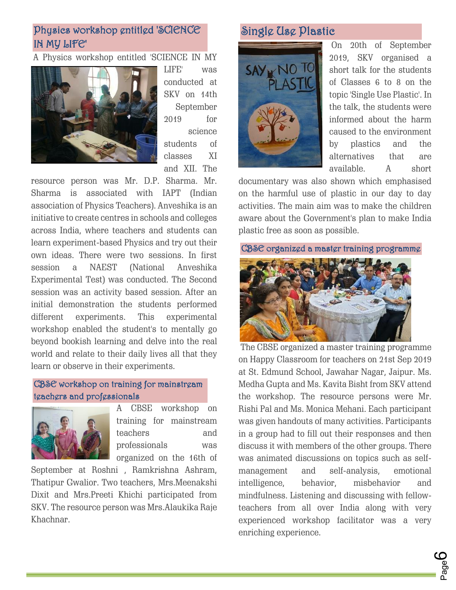## [Physics workshop entitled 'SCIENCE](http://www.skvgwalior.org/news-coverage2019.php#collapse-3)  [IN MY LIFE'](http://www.skvgwalior.org/news-coverage2019.php#collapse-3)

#### A Physics workshop entitled 'SCIENCE IN MY



LIFE' was conducted at SKV on 14th September 2019 for science students of classes XI and XII. The

resource person was Mr. D.P. Sharma. Mr. Sharma is associated with IAPT (Indian association of Physics Teachers). Anveshika is an initiative to create centres in schools and colleges across India, where teachers and students can learn experiment-based Physics and try out their own ideas. There were two sessions. In first session a NAEST (National Anveshika Experimental Test) was conducted. The Second session was an activity based session. After an initial demonstration the students performed different experiments. This experimental workshop enabled the student's to mentally go beyond bookish learning and delve into the real world and relate to their daily lives all that they learn or observe in their experiments.

#### [CBSE workshop on training for mainstream](http://www.skvgwalior.org/news-coverage2019.php#collapse-3)  [teachers and professionals](http://www.skvgwalior.org/news-coverage2019.php#collapse-3)



A CBSE workshop on training for mainstream teachers and professionals was organized on the 16th of

September at Roshni , Ramkrishna Ashram, Thatipur Gwalior. Two teachers, Mrs.Meenakshi Dixit and Mrs.Preeti Khichi participated from SKV. The resource person was Mrs.Alaukika Raje Khachnar.

# [Single Use Plastic](http://www.skvgwalior.org/news-coverage2019.php#collapse-3)



On 20th of September 2019, SKV organised a short talk for the students of Classes 6 to 8 on the topic 'Single Use Plastic'. In the talk, the students were informed about the harm caused to the environment by plastics and the alternatives that are available. A short

documentary was also shown which emphasised on the harmful use of plastic in our day to day activities. The main aim was to make the children aware about the Government's plan to make India plastic free as soon as possible.



The CBSE organized a master training programme on Happy Classroom for teachers on 21st Sep 2019 at St. Edmund School, Jawahar Nagar, Jaipur. Ms. Medha Gupta and Ms. Kavita Bisht from SKV attend the workshop. The resource persons were Mr. Rishi Pal and Ms. Monica Mehani. Each participant was given handouts of many activities. Participants in a group had to fill out their responses and then discuss it with members of the other groups. There was animated discussions on topics such as selfmanagement and self-analysis, emotional intelligence, behavior, misbehavior and mindfulness. Listening and discussing with fellowteachers from all over India along with very experienced workshop facilitator was a very enriching experience.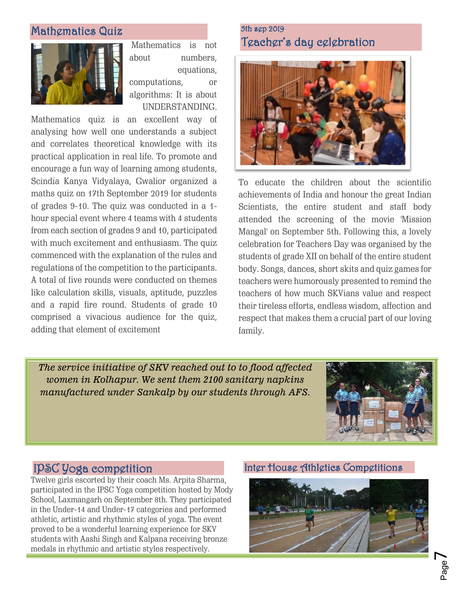## [Mathematics Quiz](http://www.skvgwalior.org/news-coverage2019.php#collapse-3)



Mathematics is not about numbers, equations, computations, or algorithms: It is about

UNDERSTANDING.

Mathematics quiz is an excellent way of analysing how well one understands a subject and correlates theoretical knowledge with its practical application in real life. To promote and encourage a fun way of learning among students, Scindia Kanya Vidyalaya, Gwalior organized a maths quiz on 17th September 2019 for students of grades 9-10. The quiz was conducted in a 1 hour special event where 4 teams with 4 students from each section of grades 9 and 10, participated with much excitement and enthusiasm. The quiz commenced with the explanation of the rules and regulations of the competition to the participants. A total of five rounds were conducted on themes like calculation skills, visuals, aptitude, puzzles and a rapid fire round. Students of grade 10 comprised a vivacious audience for the quiz, adding that element of excitement

## 5th sep 2019 Teacher's day celebration



To educate the children about the scientific achievements of India and honour the great Indian Scientists, the entire student and staff body attended the screening of the movie 'Mission Mangal' on September 5th. Following this, a lovely celebration for Teachers Day was organised by the students of grade XII on behalf of the entire student body. Songs, dances, short skits and quiz games for teachers were humorously presented to remind the teachers of how much SKVians value and respect their tireless efforts, endless wisdom, affection and respect that makes them a crucial part of our loving family.

*The service initiative of SKV reached out to to flood affected women in Kolhapur. We sent them 2100 sanitary napkins manufactured under Sankalp by our students through AFS.*



## IPSC Yoga competition

Twelve girls escorted by their coach Ms. Arpita Sharma, participated in the IPSC Yoga competition hosted by Mody School, Laxmangarh on September 8th. They participated in the Under-14 and Under-17 categories and performed athletic, artistic and rhythmic styles of yoga. The event proved to be a wonderful learning experience for SKV students with Aashi Singh and Kalpana receiving bronze medals in rhythmic and artistic styles respectively.

#### Inter House Athletics Competitions